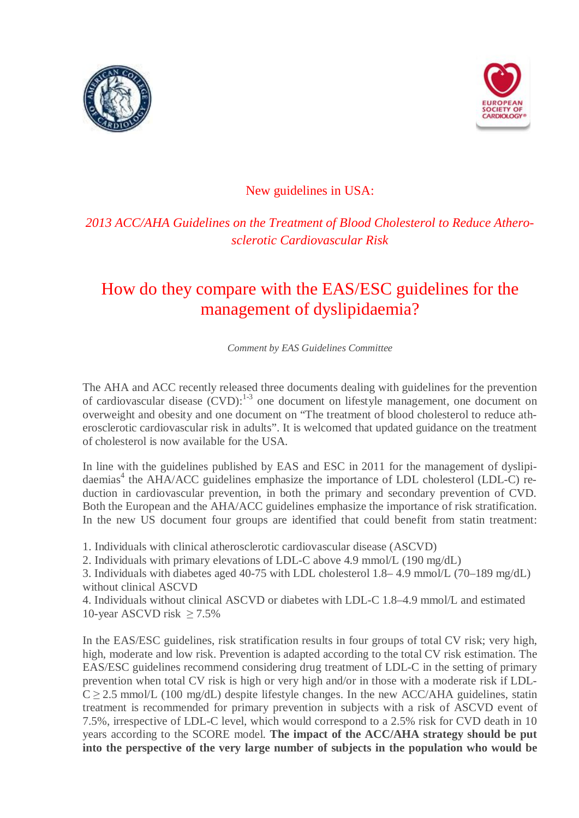



New guidelines in USA:

## *2013 ACC/AHA Guidelines on the Treatment of Blood Cholesterol to Reduce Atherosclerotic Cardiovascular Risk*

## How do they compare with the EAS/ESC guidelines for the management of dyslipidaemia?

*Comment by EAS Guidelines Committee*

The AHA and ACC recently released three documents dealing with guidelines for the prevention of cardiovascular disease  $(CVD)$ :<sup>1-3</sup> one document on lifestyle management, one document on overweight and obesity and one document on "The treatment of blood cholesterol to reduce atherosclerotic cardiovascular risk in adults". It is welcomed that updated guidance on the treatment of cholesterol is now available for the USA.

In line with the guidelines published by EAS and ESC in 2011 for the management of dyslipidaemias<sup>4</sup> the AHA/ACC guidelines emphasize the importance of LDL cholesterol (LDL-C) reduction in cardiovascular prevention, in both the primary and secondary prevention of CVD. Both the European and the AHA/ACC guidelines emphasize the importance of risk stratification. In the new US document four groups are identified that could benefit from statin treatment:

1. Individuals with clinical atherosclerotic cardiovascular disease (ASCVD)

2. Individuals with primary elevations of LDL-C above 4.9 mmol/L (190 mg/dL)

3. Individuals with diabetes aged 40-75 with LDL cholesterol 1.8– 4.9 mmol/L (70–189 mg/dL) without clinical ASCVD

4. Individuals without clinical ASCVD or diabetes with LDL-C 1.8–4.9 mmol/L and estimated 10-year ASCVD risk  $> 7.5\%$ 

In the EAS/ESC guidelines, risk stratification results in four groups of total CV risk; very high, high, moderate and low risk. Prevention is adapted according to the total CV risk estimation. The EAS/ESC guidelines recommend considering drug treatment of LDL-C in the setting of primary prevention when total CV risk is high or very high and/or in those with a moderate risk if LDL- $C \ge 2.5$  mmol/L (100 mg/dL) despite lifestyle changes. In the new ACC/AHA guidelines, statin treatment is recommended for primary prevention in subjects with a risk of ASCVD event of 7.5%, irrespective of LDL-C level, which would correspond to a 2.5% risk for CVD death in 10 years according to the SCORE model. **The impact of the ACC/AHA strategy should be put into the perspective of the very large number of subjects in the population who would be**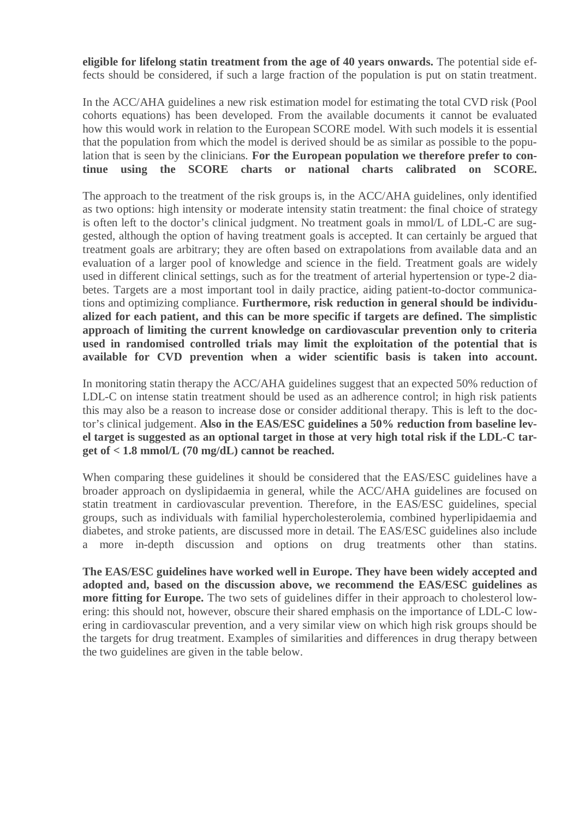**eligible for lifelong statin treatment from the age of 40 years onwards.** The potential side effects should be considered, if such a large fraction of the population is put on statin treatment.

In the ACC/AHA guidelines a new risk estimation model for estimating the total CVD risk (Pool cohorts equations) has been developed. From the available documents it cannot be evaluated how this would work in relation to the European SCORE model. With such models it is essential that the population from which the model is derived should be as similar as possible to the population that is seen by the clinicians. **For the European population we therefore prefer to continue using the SCORE charts or national charts calibrated on SCORE.**

The approach to the treatment of the risk groups is, in the ACC/AHA guidelines, only identified as two options: high intensity or moderate intensity statin treatment: the final choice of strategy is often left to the doctor's clinical judgment. No treatment goals in mmol/L of LDL-C are suggested, although the option of having treatment goals is accepted. It can certainly be argued that treatment goals are arbitrary; they are often based on extrapolations from available data and an evaluation of a larger pool of knowledge and science in the field. Treatment goals are widely used in different clinical settings, such as for the treatment of arterial hypertension or type-2 diabetes. Targets are a most important tool in daily practice, aiding patient-to-doctor communications and optimizing compliance. **Furthermore, risk reduction in general should be individualized for each patient, and this can be more specific if targets are defined. The simplistic approach of limiting the current knowledge on cardiovascular prevention only to criteria used in randomised controlled trials may limit the exploitation of the potential that is available for CVD prevention when a wider scientific basis is taken into account.**

In monitoring statin therapy the ACC/AHA guidelines suggest that an expected 50% reduction of LDL-C on intense statin treatment should be used as an adherence control; in high risk patients this may also be a reason to increase dose or consider additional therapy. This is left to the doctor's clinical judgement. **Also in the EAS/ESC guidelines a 50% reduction from baseline level target is suggested as an optional target in those at very high total risk if the LDL-C target of < 1.8 mmol/L (70 mg/dL) cannot be reached.** 

When comparing these guidelines it should be considered that the EAS/ESC guidelines have a broader approach on dyslipidaemia in general, while the ACC/AHA guidelines are focused on statin treatment in cardiovascular prevention. Therefore, in the EAS/ESC guidelines, special groups, such as individuals with familial hypercholesterolemia, combined hyperlipidaemia and diabetes, and stroke patients, are discussed more in detail. The EAS/ESC guidelines also include a more in-depth discussion and options on drug treatments other than statins.

**The EAS/ESC guidelines have worked well in Europe. They have been widely accepted and adopted and, based on the discussion above, we recommend the EAS/ESC guidelines as more fitting for Europe.** The two sets of guidelines differ in their approach to cholesterol lowering: this should not, however, obscure their shared emphasis on the importance of LDL-C lowering in cardiovascular prevention, and a very similar view on which high risk groups should be the targets for drug treatment. Examples of similarities and differences in drug therapy between the two guidelines are given in the table below.